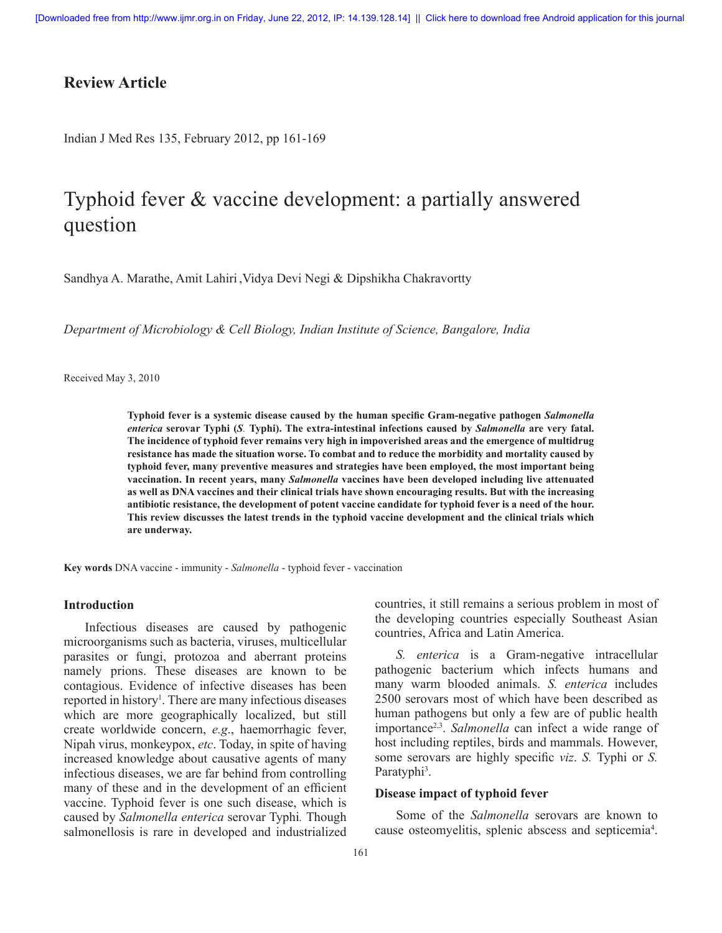## **Review Article**

Indian J Med Res 135, February 2012, pp 161-169

# Typhoid fever & vaccine development: a partially answered question

Sandhya A. Marathe, Amit Lahiri ,Vidya Devi Negi & Dipshikha Chakravortty

*Department of Microbiology & Cell Biology, Indian Institute of Science, Bangalore, India*

Received May 3, 2010

**Typhoid fever is a systemic disease caused by the human specific Gram-negative pathogen** *Salmonella enterica* **serovar Typhi (***S.* **Typhi). The extra-intestinal infections caused by** *Salmonella* **are very fatal. The incidence of typhoid fever remains very high in impoverished areas and the emergence of multidrug resistance has made the situation worse. To combat and to reduce the morbidity and mortality caused by typhoid fever, many preventive measures and strategies have been employed, the most important being vaccination. In recent years, many** *Salmonella* **vaccines have been developed including live attenuated as well as DNA vaccines and their clinical trials have shown encouraging results. But with the increasing antibiotic resistance, the development of potent vaccine candidate for typhoid fever is a need of the hour. This review discusses the latest trends in the typhoid vaccine development and the clinical trials which are underway.** 

**Key words** DNA vaccine - immunity - *Salmonella* - typhoid fever - vaccination

#### **Introduction**

Infectious diseases are caused by pathogenic microorganisms such as bacteria, viruses, multicellular parasites or fungi, protozoa and aberrant proteins namely prions. These diseases are known to be contagious. Evidence of infective diseases has been reported in history<sup>1</sup>. There are many infectious diseases which are more geographically localized, but still create worldwide concern, *e.g*., haemorrhagic fever, Nipah virus, monkeypox, *etc*. Today, in spite of having increased knowledge about causative agents of many infectious diseases, we are far behind from controlling many of these and in the development of an efficient vaccine. Typhoid fever is one such disease, which is caused by *Salmonella enterica* serovar Typhi*.* Though salmonellosis is rare in developed and industrialized

countries, it still remains a serious problem in most of the developing countries especially Southeast Asian countries, Africa and Latin America.

*S. enterica* is a Gram-negative intracellular pathogenic bacterium which infects humans and many warm blooded animals. *S. enterica* includes 2500 serovars most of which have been described as human pathogens but only a few are of public health importance2,3. *Salmonella* can infect a wide range of host including reptiles, birds and mammals. However, some serovars are highly specific *viz*. *S.* Typhi or *S.*  Paratyphi<sup>3</sup>.

#### **Disease impact of typhoid fever**

Some of the *Salmonella* serovars are known to cause osteomyelitis, splenic abscess and septicemia<sup>4</sup>.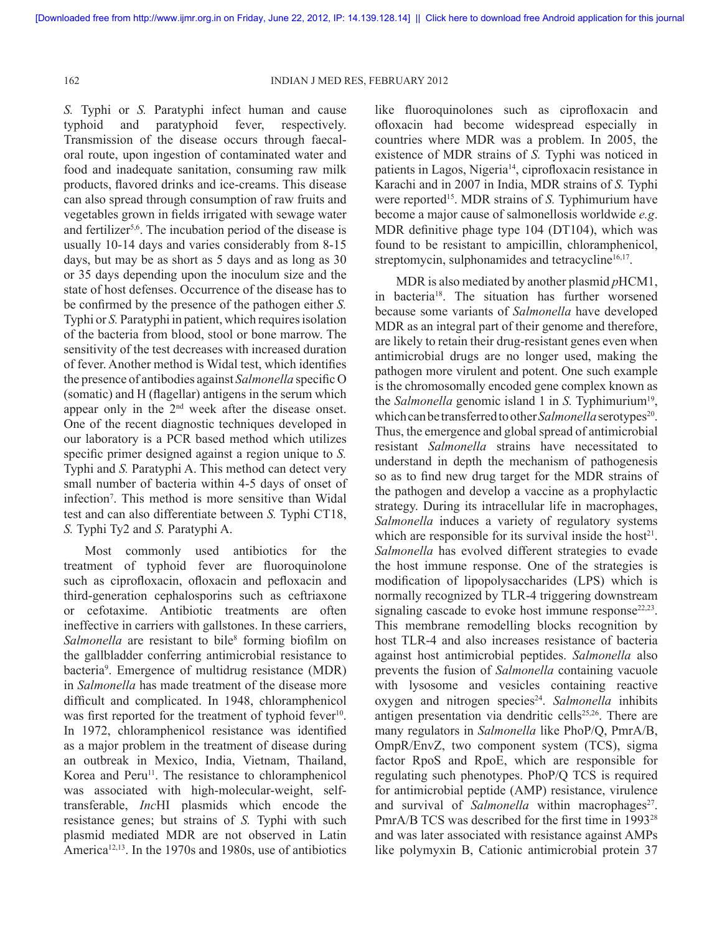*S.* Typhi or *S.* Paratyphi infect human and cause typhoid and paratyphoid fever, respectively. Transmission of the disease occurs through faecaloral route, upon ingestion of contaminated water and food and inadequate sanitation, consuming raw milk products, flavored drinks and ice-creams. This disease can also spread through consumption of raw fruits and vegetables grown in fields irrigated with sewage water and fertilizer<sup>5,6</sup>. The incubation period of the disease is usually 10-14 days and varies considerably from 8-15 days, but may be as short as 5 days and as long as 30 or 35 days depending upon the inoculum size and the state of host defenses. Occurrence of the disease has to be confirmed by the presence of the pathogen either *S.*  Typhi or *S.* Paratyphi in patient, which requires isolation of the bacteria from blood, stool or bone marrow. The sensitivity of the test decreases with increased duration of fever. Another method is Widal test, which identifies the presence of antibodies against *Salmonella* specific O (somatic) and H (flagellar) antigens in the serum which appear only in the 2nd week after the disease onset. One of the recent diagnostic techniques developed in our laboratory is a PCR based method which utilizes specific primer designed against a region unique to *S.*  Typhi and *S.* Paratyphi A. This method can detect very small number of bacteria within 4-5 days of onset of infection7 . This method is more sensitive than Widal test and can also differentiate between *S.* Typhi CT18, *S.* Typhi Ty2 and *S.* Paratyphi A.

Most commonly used antibiotics for the treatment of typhoid fever are fluoroquinolone such as ciprofloxacin, ofloxacin and pefloxacin and third-generation cephalosporins such as ceftriaxone or cefotaxime. Antibiotic treatments are often ineffective in carriers with gallstones. In these carriers, Salmonella are resistant to bile<sup>8</sup> forming biofilm on the gallbladder conferring antimicrobial resistance to bacteria<sup>9</sup>. Emergence of multidrug resistance (MDR) in *Salmonella* has made treatment of the disease more difficult and complicated. In 1948, chloramphenicol was first reported for the treatment of typhoid fever<sup>10</sup>. In 1972, chloramphenicol resistance was identified as a major problem in the treatment of disease during an outbreak in Mexico, India, Vietnam, Thailand, Korea and Peru<sup>11</sup>. The resistance to chloramphenicol was associated with high-molecular-weight, selftransferable, *Inc*HI plasmids which encode the resistance genes; but strains of *S.* Typhi with such plasmid mediated MDR are not observed in Latin America<sup>12,13</sup>. In the 1970s and 1980s, use of antibiotics

like fluoroquinolones such as ciprofloxacin and ofloxacin had become widespread especially in countries where MDR was a problem. In 2005, the existence of MDR strains of *S.* Typhi was noticed in patients in Lagos, Nigeria<sup>14</sup>, ciprofloxacin resistance in Karachi and in 2007 in India, MDR strains of *S.* Typhi were reported<sup>15</sup>. MDR strains of *S*. Typhimurium have become a major cause of salmonellosis worldwide *e.g*. MDR definitive phage type 104 (DT104), which was found to be resistant to ampicillin, chloramphenicol, streptomycin, sulphonamides and tetracycline $16,17$ .

MDR is also mediated by another plasmid *p*HCM1, in bacteria18. The situation has further worsened because some variants of *Salmonella* have developed MDR as an integral part of their genome and therefore, are likely to retain their drug-resistant genes even when antimicrobial drugs are no longer used, making the pathogen more virulent and potent. One such example is the chromosomally encoded gene complex known as the *Salmonella* genomic island 1 in *S*. Typhimurium<sup>19</sup>, which can be transferred to other *Salmonella* serotypes<sup>20</sup>. Thus, the emergence and global spread of antimicrobial resistant *Salmonella* strains have necessitated to understand in depth the mechanism of pathogenesis so as to find new drug target for the MDR strains of the pathogen and develop a vaccine as a prophylactic strategy. During its intracellular life in macrophages, *Salmonella* induces a variety of regulatory systems which are responsible for its survival inside the host<sup>21</sup>. *Salmonella* has evolved different strategies to evade the host immune response. One of the strategies is modification of lipopolysaccharides (LPS) which is normally recognized by TLR-4 triggering downstream signaling cascade to evoke host immune response  $22,23$ . This membrane remodelling blocks recognition by host TLR-4 and also increases resistance of bacteria against host antimicrobial peptides. *Salmonella* also prevents the fusion of *Salmonella* containing vacuole with lysosome and vesicles containing reactive oxygen and nitrogen species<sup>24</sup>. Salmonella inhibits antigen presentation via dendritic cells<sup>25,26</sup>. There are many regulators in *Salmonella* like PhoP/Q, PmrA/B, OmpR/EnvZ, two component system (TCS), sigma factor RpoS and RpoE, which are responsible for regulating such phenotypes. PhoP/Q TCS is required for antimicrobial peptide (AMP) resistance, virulence and survival of *Salmonella* within macrophages<sup>27</sup>. PmrA/B TCS was described for the first time in 1993<sup>28</sup> and was later associated with resistance against AMPs like polymyxin B, Cationic antimicrobial protein 37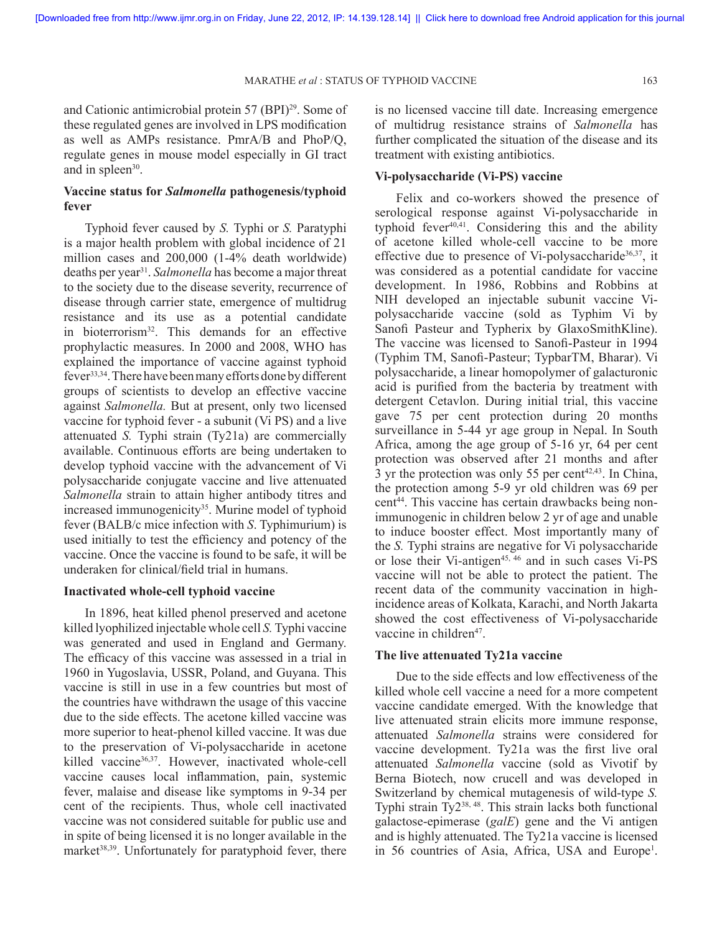and Cationic antimicrobial protein 57 (BPI)29. Some of these regulated genes are involved in LPS modification as well as AMPs resistance. PmrA/B and PhoP/Q, regulate genes in mouse model especially in GI tract and in spleen<sup>30</sup>.

## **Vaccine status for** *Salmonella* **pathogenesis/typhoid fever**

Typhoid fever caused by *S.* Typhi or *S.* Paratyphi is a major health problem with global incidence of 21 million cases and 200,000 (1-4% death worldwide) deaths per year31. *Salmonella* has become a major threat to the society due to the disease severity, recurrence of disease through carrier state, emergence of multidrug resistance and its use as a potential candidate in bioterrorism<sup>32</sup>. This demands for an effective prophylactic measures. In 2000 and 2008, WHO has explained the importance of vaccine against typhoid fever33,34. There have been many efforts done by different groups of scientists to develop an effective vaccine against *Salmonella.* But at present, only two licensed vaccine for typhoid fever - a subunit (Vi PS) and a live attenuated *S.* Typhi strain (Ty21a) are commercially available. Continuous efforts are being undertaken to develop typhoid vaccine with the advancement of Vi polysaccharide conjugate vaccine and live attenuated *Salmonella* strain to attain higher antibody titres and increased immunogenicity<sup>35</sup>. Murine model of typhoid fever (BALB/c mice infection with *S*. Typhimurium) is used initially to test the efficiency and potency of the vaccine. Once the vaccine is found to be safe, it will be underaken for clinical/field trial in humans.

## **Inactivated whole-cell typhoid vaccine**

In 1896, heat killed phenol preserved and acetone killed lyophilized injectable whole cell *S.* Typhi vaccine was generated and used in England and Germany. The efficacy of this vaccine was assessed in a trial in 1960 in Yugoslavia, USSR, Poland, and Guyana. This vaccine is still in use in a few countries but most of the countries have withdrawn the usage of this vaccine due to the side effects. The acetone killed vaccine was more superior to heat-phenol killed vaccine. It was due to the preservation of Vi-polysaccharide in acetone killed vaccine<sup>36,37</sup>. However, inactivated whole-cell vaccine causes local inflammation, pain, systemic fever, malaise and disease like symptoms in 9-34 per cent of the recipients. Thus, whole cell inactivated vaccine was not considered suitable for public use and in spite of being licensed it is no longer available in the market<sup>38,39</sup>. Unfortunately for paratyphoid fever, there

is no licensed vaccine till date. Increasing emergence of multidrug resistance strains of *Salmonella* has further complicated the situation of the disease and its treatment with existing antibiotics.

## **Vi-polysaccharide (Vi-PS) vaccine**

Felix and co-workers showed the presence of serological response against Vi-polysaccharide in typhoid fever $40,41$ . Considering this and the ability of acetone killed whole-cell vaccine to be more effective due to presence of Vi-polysaccharide<sup>36,37</sup>, it was considered as a potential candidate for vaccine development. In 1986, Robbins and Robbins at NIH developed an injectable subunit vaccine Vipolysaccharide vaccine (sold as Typhim Vi by Sanofi Pasteur and Typherix by GlaxoSmithKline). The vaccine was licensed to Sanofi-Pasteur in 1994 (Typhim TM, Sanofi-Pasteur; TypbarTM, Bharar). Vi polysaccharide, a linear homopolymer of galacturonic acid is purified from the bacteria by treatment with detergent Cetavlon. During initial trial, this vaccine gave 75 per cent protection during 20 months surveillance in 5-44 yr age group in Nepal. In South Africa, among the age group of 5-16 yr, 64 per cent protection was observed after 21 months and after 3 yr the protection was only 55 per cent<sup> $42,43$ </sup>. In China, the protection among 5-9 yr old children was 69 per cent44. This vaccine has certain drawbacks being nonimmunogenic in children below 2 yr of age and unable to induce booster effect. Most importantly many of the *S.* Typhi strains are negative for Vi polysaccharide or lose their Vi-antigen45, 46 and in such cases Vi-PS vaccine will not be able to protect the patient. The recent data of the community vaccination in highincidence areas of Kolkata, Karachi, and North Jakarta showed the cost effectiveness of Vi-polysaccharide vaccine in children<sup>47</sup>.

### **The live attenuated Ty21a vaccine**

Due to the side effects and low effectiveness of the killed whole cell vaccine a need for a more competent vaccine candidate emerged. With the knowledge that live attenuated strain elicits more immune response, attenuated *Salmonella* strains were considered for vaccine development. Ty21a was the first live oral attenuated *Salmonella* vaccine (sold as Vivotif by Berna Biotech, now crucell and was developed in Switzerland by chemical mutagenesis of wild-type *S.*  Typhi strain Ty238, 48. This strain lacks both functional galactose-epimerase (*galE*) gene and the Vi antigen and is highly attenuated. The Ty21a vaccine is licensed in 56 countries of Asia, Africa, USA and Europe<sup>1</sup>.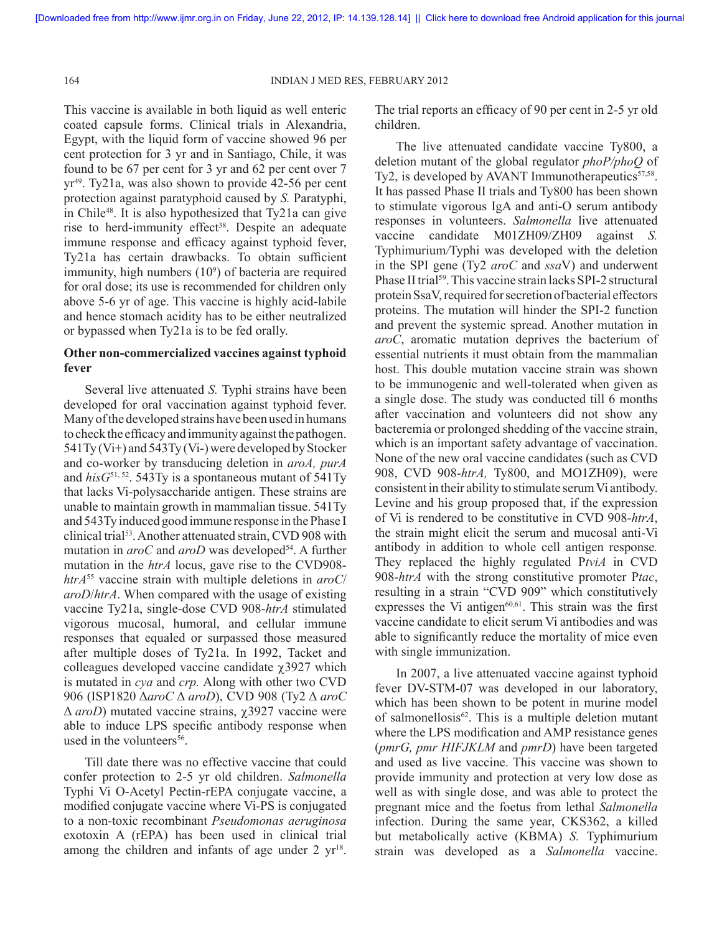164 INDIAN J MED RES, FEBRUARY 2012

This vaccine is available in both liquid as well enteric coated capsule forms. Clinical trials in Alexandria, Egypt, with the liquid form of vaccine showed 96 per cent protection for 3 yr and in Santiago, Chile, it was found to be 67 per cent for 3 yr and 62 per cent over 7 yr49 . Ty21a, was also shown to provide 42-56 per cent protection against paratyphoid caused by *S.* Paratyphi, in Chile48. It is also hypothesized that Ty21a can give rise to herd-immunity effect<sup>38</sup>. Despite an adequate immune response and efficacy against typhoid fever, Ty21a has certain drawbacks. To obtain sufficient immunity, high numbers  $(10<sup>9</sup>)$  of bacteria are required for oral dose; its use is recommended for children only above 5-6 yr of age. This vaccine is highly acid-labile and hence stomach acidity has to be either neutralized or bypassed when Ty21a is to be fed orally.

## **Other non-commercialized vaccines against typhoid fever**

Several live attenuated *S.* Typhi strains have been developed for oral vaccination against typhoid fever. Many of the developed strains have been used in humans to check the efficacy and immunity against the pathogen. 541Ty (Vi+) and 543Ty (Vi-) were developed by Stocker and co-worker by transducing deletion in *aroA, purA* and *hisG*51, 52. 543Ty is a spontaneous mutant of 541Ty that lacks Vi-polysaccharide antigen. These strains are unable to maintain growth in mammalian tissue. 541Ty and 543Ty induced good immune response in the Phase I clinical trial53 . Another attenuated strain, CVD 908 with mutation in *aroC* and *aroD* was developed<sup>54</sup>. A further mutation in the *htrA* locus, gave rise to the CVD908 *htrA*55 vaccine strain with multiple deletions in *aroC*/ *aroD*/*htrA*. When compared with the usage of existing vaccine Ty21a, single-dose CVD 908-*htrA* stimulated vigorous mucosal, humoral, and cellular immune responses that equaled or surpassed those measured after multiple doses of Ty21a. In 1992, Tacket and colleagues developed vaccine candidate  $χ$ 3927 which is mutated in *cya* and *crp.* Along with other two CVD 906 (ISP1820 Δ*aroC* Δ *aroD*), CVD 908 (Ty2 Δ *aroC* Δ *aroD*) mutated vaccine strains, χ3927 vaccine were able to induce LPS specific antibody response when used in the volunteers<sup>56</sup>.

Till date there was no effective vaccine that could confer protection to 2-5 yr old children. *Salmonella* Typhi Vi O-Acetyl Pectin-rEPA conjugate vaccine, a modified conjugate vaccine where Vi-PS is conjugated to a non-toxic recombinant *Pseudomonas aeruginosa* exotoxin A (rEPA) has been used in clinical trial among the children and infants of age under  $2 \text{ yr}^{18}$ .

The trial reports an efficacy of 90 per cent in 2-5 yr old children.

The live attenuated candidate vaccine Ty800, a deletion mutant of the global regulator *phoP/phoQ* of Ty2, is developed by AVANT Immunotherapeutics $57,58$ . It has passed Phase II trials and Ty800 has been shown to stimulate vigorous IgA and anti-O serum antibody responses in volunteers. *Salmonella* live attenuated vaccine candidate M01ZH09/ZH09 against *S.*  Typhimurium*/*Typhi was developed with the deletion in the SPI gene (Ty2 *aroC* and *ssa*V) and underwent Phase II trial<sup>59</sup>. This vaccine strain lacks SPI-2 structural protein SsaV, required for secretion of bacterial effectors proteins. The mutation will hinder the SPI-2 function and prevent the systemic spread. Another mutation in *aroC*, aromatic mutation deprives the bacterium of essential nutrients it must obtain from the mammalian host. This double mutation vaccine strain was shown to be immunogenic and well-tolerated when given as a single dose. The study was conducted till 6 months after vaccination and volunteers did not show any bacteremia or prolonged shedding of the vaccine strain, which is an important safety advantage of vaccination. None of the new oral vaccine candidates (such as CVD 908, CVD 908-*htrA,* Ty800, and MO1ZH09), were consistent in their ability to stimulate serum Vi antibody. Levine and his group proposed that, if the expression of Vi is rendered to be constitutive in CVD 908-*htrA*, the strain might elicit the serum and mucosal anti-Vi antibody in addition to whole cell antigen response*.*  They replaced the highly regulated P*tviA* in CVD 908-*htrA* with the strong constitutive promoter P*tac*, resulting in a strain "CVD 909" which constitutively expresses the Vi antigen $60,61$ . This strain was the first vaccine candidate to elicit serum Vi antibodies and was able to significantly reduce the mortality of mice even with single immunization.

In 2007, a live attenuated vaccine against typhoid fever DV-STM-07 was developed in our laboratory, which has been shown to be potent in murine model of salmonellosis $62$ . This is a multiple deletion mutant where the LPS modification and AMP resistance genes (*pmrG, pmr HIFJKLM* and *pmrD*) have been targeted and used as live vaccine. This vaccine was shown to provide immunity and protection at very low dose as well as with single dose, and was able to protect the pregnant mice and the foetus from lethal *Salmonella* infection. During the same year, CKS362, a killed but metabolically active (KBMA) *S.* Typhimurium strain was developed as a *Salmonella* vaccine.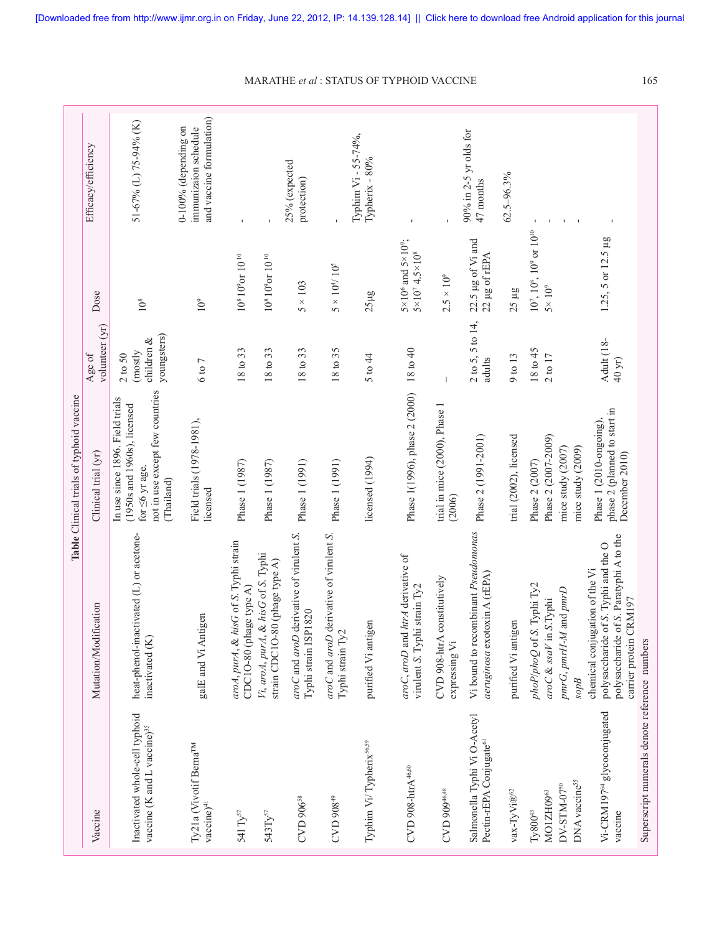|                                                                                         |                                                                                                                                             | Table Clinical trials of typhoid vaccine                                                                                                |                                                              |                                                                            |                                                                            |
|-----------------------------------------------------------------------------------------|---------------------------------------------------------------------------------------------------------------------------------------------|-----------------------------------------------------------------------------------------------------------------------------------------|--------------------------------------------------------------|----------------------------------------------------------------------------|----------------------------------------------------------------------------|
| Vaccine                                                                                 | Mutation/Modification                                                                                                                       | Clinical trial (yr)                                                                                                                     | volunteer (yr)<br>Age of                                     | Dose                                                                       | Efficacy/efficiency                                                        |
| Inactivated whole-cell typhoid<br>vaccine (K and L vaccine) <sup>35</sup>               | heat-phenol-inactivated (L) or acetone-<br>inactivated (K)                                                                                  | not in use except few countries<br>In use since 1896. Field trials<br>(1950s and 1960s), licensed<br>for $\leq 6$ yr age.<br>(Thailand) | youngsters)<br>children $\&$<br>(mostly<br>$2\;{\rm to}\;50$ | $10^8$                                                                     | 51-67% (L) 75-94% (K)                                                      |
| Ty21a (Vivotif Berna <sup>TM</sup><br>vaccine) <sup>41</sup>                            | galE and Vi Antigen                                                                                                                         | Field trials (1978-1981),<br>licensed                                                                                                   | $6 \text{ to } 7$                                            | $10^9$                                                                     | and vaccine formulation)<br>$0-100%$ (depending on<br>immunizaion schedule |
| 541 $\mathrm{Ty}^{57}$                                                                  | aroA, purA, & hisG of S. Typhi strain<br>CDC10-80 (phage type A)                                                                            | Phase 1 (1987)                                                                                                                          | 18 to 33                                                     | $108 109$ or 10 <sup>10</sup>                                              |                                                                            |
| 543Ty <sup>57</sup>                                                                     | Vi, aroA, purA, & hisG of S. Typhi<br>strain CDC1O-80 (phage type A)                                                                        | Phase 1 (1987)                                                                                                                          | 18 to 33                                                     | $10^8\,10^9$ or $10^{\,10}$                                                |                                                                            |
| CVD 906 <sup>58</sup>                                                                   | aroC and aroD derivative of virulent S.<br>820<br>Typhi strain ISP1                                                                         | Phase 1 (1991)                                                                                                                          | 18 to 33                                                     | $5 \times 103$                                                             | 25% (expected<br>protection)                                               |
| CVD 908 <sup>49</sup>                                                                   | aroC and aroD derivative of virulent S.<br>Typhi strain Ty2                                                                                 | Phase 1 (1991)                                                                                                                          | 18 to 35                                                     | $5\times10^4/\,10^5$                                                       |                                                                            |
| Typhim Vi/Typherix <sup>56,59</sup>                                                     | purified Vi antigen                                                                                                                         | licensed (1994)                                                                                                                         | 5 to 44                                                      | $25\mu$ g                                                                  | Typhim Vi - 55-74%,<br>Typherix - 80%                                      |
| $CVD$ 908- $\text{htrA}^{46,60}$                                                        | aroC, aroD and htrA derivative of<br>virulent S. Typhi strain Ty2                                                                           | Phase 1(1996), phase 2 (2000)                                                                                                           | 18 to 40                                                     | $5 \times 10^6$ and $5 \times 10^9$ ;<br>$5 \times 10^7$ 4.5 $\times 10^8$ |                                                                            |
| CVD 909 <sup>46,48</sup>                                                                | CVD 908-htrA constitutively<br>expressing Vi                                                                                                | trial in mice (2000), Phase 1<br>(2006)                                                                                                 |                                                              | $2.5 \times 10^{9}$                                                        |                                                                            |
| Salmonella Typhi Vi O-Acetyl<br>Pectin-rEPA Conjugate <sup>61</sup>                     | Vi bound to recombinant Pseudomonas<br>aeruginosa exotoxin A (rEPA)                                                                         | Phase 2 (1991-2001)                                                                                                                     | $2$ to 5, 5 to 14,<br>adults                                 | 22.5 µg of Vi and<br>22 µg of rEPA                                         | 90% in 2-5 yr olds for<br>47 months                                        |
| $\text{vax-TyVi}\otimes^{c_2}$                                                          | purified Vi antigen                                                                                                                         | trial (2002), licensed                                                                                                                  | 9 to 13                                                      | $25 \mu g$                                                                 | $62.5 - 96.3%$                                                             |
| DNA vaccine <sup>55</sup><br>DV-STM-07 <sup>50</sup><br>MO1ZH0963<br>${\rm Ty}800^{43}$ | Typhi Ty2<br>pmrG, pmrH-M and pmrD<br>aroC & ssaV in S.Typhi<br>phoP/phoQ of S.<br>$\mathcal{S}^{obs}$                                      | Phase 2 (2007-2009)<br>mice study (2009)<br>mice study $(2007)$<br>Phase 2 (2007)                                                       | 18 to 45<br>$2 \text{ to } 17$                               | $10^7$ , $10^8$ , $10^9$ or $10^{10}$<br>$5\times10^9$                     | $\mathbf I$<br>$\mathbf{I}$                                                |
| Vi-CRM197 <sup>64</sup> glycoconjugated<br>vaccine                                      | polysaccharide of S. Paratyphi A to the<br>polysaccharide of S. Typhi and the O<br>chemical conjugation of the Vi<br>carrier protein CRM197 | phase 2 (planned to start in<br>Phase 1 (2010-ongoing)<br>December 2010)                                                                | Adult (18-<br>40 yr)                                         | 1.25, 5 or 12.5 µg                                                         |                                                                            |
| Superscript numerals denote reference numbers                                           |                                                                                                                                             |                                                                                                                                         |                                                              |                                                                            |                                                                            |

MARATHE *et al* : STATUS OF TYPHOID VACCINE 165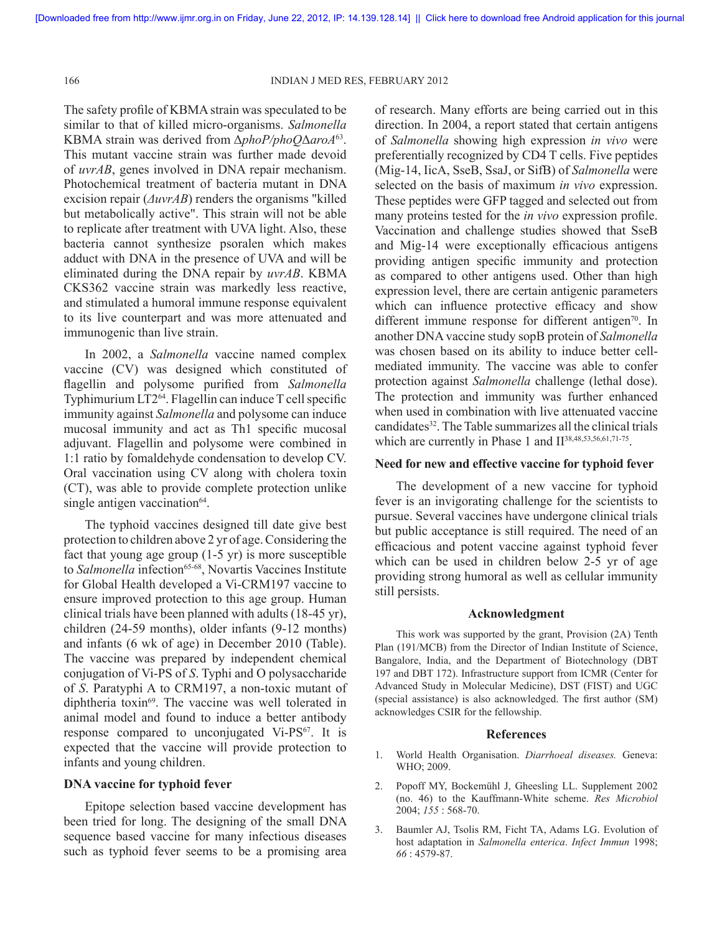166 INDIAN J MED RES, FEBRUARY 2012

The safety profile of KBMA strain was speculated to be similar to that of killed micro-organisms. *Salmonella* KBMA strain was derived from Δ*phoP/phoQ*Δ*aroA*63. This mutant vaccine strain was further made devoid of *uvrAB*, genes involved in DNA repair mechanism. Photochemical treatment of bacteria mutant in DNA excision repair (*ΔuvrAB*) renders the organisms "killed but metabolically active". This strain will not be able to replicate after treatment with UVA light. Also, these bacteria cannot synthesize psoralen which makes adduct with DNA in the presence of UVA and will be eliminated during the DNA repair by *uvrAB*. KBMA CKS362 vaccine strain was markedly less reactive, and stimulated a humoral immune response equivalent to its live counterpart and was more attenuated and immunogenic than live strain.

In 2002, a *Salmonella* vaccine named complex vaccine (CV) was designed which constituted of flagellin and polysome purified from *Salmonella* Typhimurium LT264. Flagellin can induce T cell specific immunity against *Salmonella* and polysome can induce mucosal immunity and act as Th1 specific mucosal adjuvant. Flagellin and polysome were combined in 1:1 ratio by fomaldehyde condensation to develop CV. Oral vaccination using CV along with cholera toxin (CT), was able to provide complete protection unlike single antigen vaccination $64$ .

The typhoid vaccines designed till date give best protection to children above 2 yr of age. Considering the fact that young age group (1-5 yr) is more susceptible to *Salmonella* infection<sup>65-68</sup>, Novartis Vaccines Institute for Global Health developed a Vi-CRM197 vaccine to ensure improved protection to this age group. Human clinical trials have been planned with adults (18-45 yr), children (24-59 months), older infants (9-12 months) and infants (6 wk of age) in December 2010 (Table). The vaccine was prepared by independent chemical conjugation of Vi-PS of *S*. Typhi and O polysaccharide of *S*. Paratyphi A to CRM197, a non-toxic mutant of diphtheria toxin69. The vaccine was well tolerated in animal model and found to induce a better antibody response compared to unconjugated Vi-PS<sup>67</sup>. It is expected that the vaccine will provide protection to infants and young children.

### **DNA vaccine for typhoid fever**

Epitope selection based vaccine development has been tried for long. The designing of the small DNA sequence based vaccine for many infectious diseases such as typhoid fever seems to be a promising area of research. Many efforts are being carried out in this direction. In 2004, a report stated that certain antigens of *Salmonella* showing high expression *in vivo* were preferentially recognized by CD4 T cells. Five peptides (Mig-14, IicA, SseB, SsaJ, or SifB) of *Salmonella* were selected on the basis of maximum *in vivo* expression. These peptides were GFP tagged and selected out from many proteins tested for the *in vivo* expression profile. Vaccination and challenge studies showed that SseB and Mig-14 were exceptionally efficacious antigens providing antigen specific immunity and protection as compared to other antigens used. Other than high expression level, there are certain antigenic parameters which can influence protective efficacy and show different immune response for different antigen<sup>70</sup>. In another DNA vaccine study sopB protein of *Salmonella* was chosen based on its ability to induce better cellmediated immunity. The vaccine was able to confer protection against *Salmonella* challenge (lethal dose). The protection and immunity was further enhanced when used in combination with live attenuated vaccine candidates<sup>32</sup>. The Table summarizes all the clinical trials which are currently in Phase 1 and  $II^{38,48,53,56,61,71-75}$ .

### **Need for new and effective vaccine for typhoid fever**

The development of a new vaccine for typhoid fever is an invigorating challenge for the scientists to pursue. Several vaccines have undergone clinical trials but public acceptance is still required. The need of an efficacious and potent vaccine against typhoid fever which can be used in children below 2-5 yr of age providing strong humoral as well as cellular immunity still persists.

#### **Acknowledgment**

This work was supported by the grant, Provision (2A) Tenth Plan (191/MCB) from the Director of Indian Institute of Science, Bangalore, India, and the Department of Biotechnology (DBT 197 and DBT 172). Infrastructure support from ICMR (Center for Advanced Study in Molecular Medicine), DST (FIST) and UGC (special assistance) is also acknowledged. The first author (SM) acknowledges CSIR for the fellowship.

#### **References**

- 1. World Health Organisation. *Diarrhoeal diseases.* Geneva: WHO; 2009.
- 2. Popoff MY, Bockemühl J, Gheesling LL. Supplement 2002 (no. 46) to the Kauffmann-White scheme. *Res Microbiol*  2004; *155* : 568-70.
- 3. Baumler AJ, Tsolis RM, Ficht TA, Adams LG. Evolution of host adaptation in *Salmonella enterica*. *Infect Immun* 1998; *66* : 4579-87.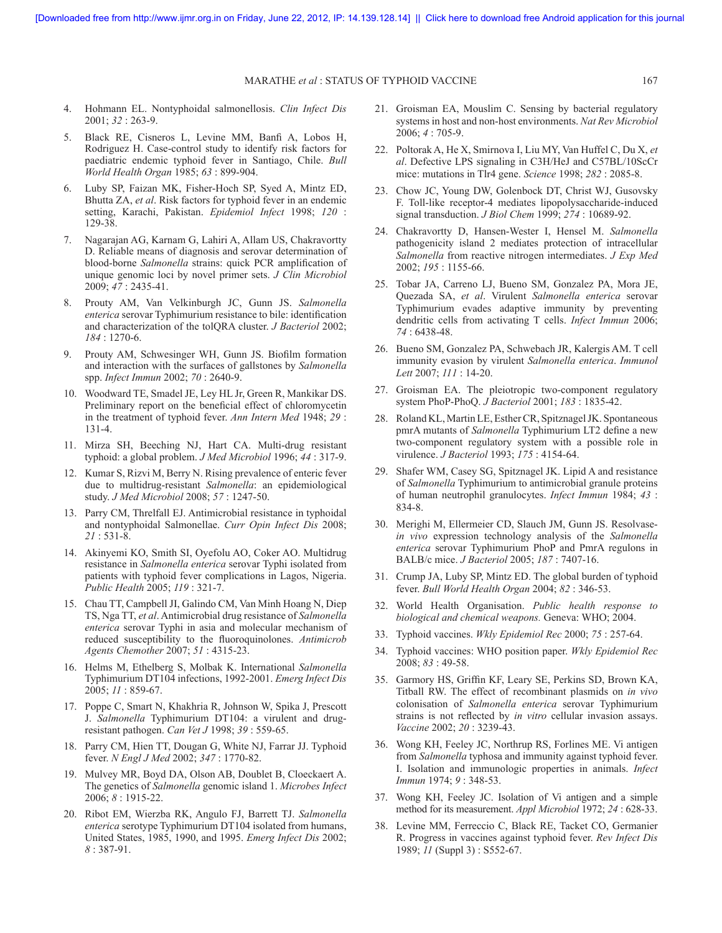#### MARATHE *et al* : STATUS OF TYPHOID VACCINE 167

- 4. Hohmann EL. Nontyphoidal salmonellosis. *Clin Infect Dis* 2001; *32* : 263-9.
- 5. Black RE, Cisneros L, Levine MM, Banfi A, Lobos H, Rodriguez H. Case-control study to identify risk factors for paediatric endemic typhoid fever in Santiago, Chile. *Bull World Health Organ* 1985; *63* : 899-904.
- 6. Luby SP, Faizan MK, Fisher-Hoch SP, Syed A, Mintz ED, Bhutta ZA, *et al*. Risk factors for typhoid fever in an endemic setting, Karachi, Pakistan. *Epidemiol Infect* 1998; *120* : 129-38.
- 7. Nagarajan AG, Karnam G, Lahiri A, Allam US, Chakravortty D. Reliable means of diagnosis and serovar determination of blood-borne *Salmonella* strains: quick PCR amplification of unique genomic loci by novel primer sets. *J Clin Microbiol* 2009; *47* : 2435-41.
- 8. Prouty AM, Van Velkinburgh JC, Gunn JS. *Salmonella enterica* serovar Typhimurium resistance to bile: identification and characterization of the tolQRA cluster. *J Bacteriol* 2002; *184* : 1270-6.
- 9. Prouty AM, Schwesinger WH, Gunn JS. Biofilm formation and interaction with the surfaces of gallstones by *Salmonella* spp. *Infect Immun* 2002; *70* : 2640-9.
- 10. Woodward TE, Smadel JE, Ley HL Jr, Green R, Mankikar DS. Preliminary report on the beneficial effect of chloromycetin in the treatment of typhoid fever. *Ann Intern Med* 1948; *29* : 131-4.
- 11. Mirza SH, Beeching NJ, Hart CA. Multi-drug resistant typhoid: a global problem. *J Med Microbiol* 1996; *44* : 317-9.
- 12. Kumar S, Rizvi M, Berry N. Rising prevalence of enteric fever due to multidrug-resistant *Salmonella*: an epidemiological study. *J Med Microbiol* 2008; *57* : 1247-50.
- 13. Parry CM, Threlfall EJ. Antimicrobial resistance in typhoidal and nontyphoidal Salmonellae. *Curr Opin Infect Dis* 2008; *21* : 531-8.
- 14. Akinyemi KO, Smith SI, Oyefolu AO, Coker AO. Multidrug resistance in *Salmonella enterica* serovar Typhi isolated from patients with typhoid fever complications in Lagos, Nigeria. *Public Health* 2005; *119* : 321-7.
- 15. Chau TT, Campbell JI, Galindo CM, Van Minh Hoang N, Diep TS, Nga TT, *et al*. Antimicrobial drug resistance of *Salmonella enterica* serovar Typhi in asia and molecular mechanism of reduced susceptibility to the fluoroquinolones. *Antimicrob Agents Chemother* 2007; *51* : 4315-23.
- 16. Helms M, Ethelberg S, Molbak K. International *Salmonella* Typhimurium DT104 infections, 1992-2001. *Emerg Infect Dis* 2005; *11* : 859-67.
- 17. Poppe C, Smart N, Khakhria R, Johnson W, Spika J, Prescott J. *Salmonella* Typhimurium DT104: a virulent and drugresistant pathogen. *Can Vet J* 1998; *39* : 559-65.
- 18. Parry CM, Hien TT, Dougan G, White NJ, Farrar JJ. Typhoid fever. *N Engl J Med* 2002; *347* : 1770-82.
- 19. Mulvey MR, Boyd DA, Olson AB, Doublet B, Cloeckaert A. The genetics of *Salmonella* genomic island 1. *Microbes Infect* 2006; *8* : 1915-22.
- 20. Ribot EM, Wierzba RK, Angulo FJ, Barrett TJ. *Salmonella enterica* serotype Typhimurium DT104 isolated from humans, United States, 1985, 1990, and 1995. *Emerg Infect Dis* 2002; *8* : 387-91.
- 21. Groisman EA, Mouslim C. Sensing by bacterial regulatory systems in host and non-host environments. *Nat Rev Microbiol* 2006; *4* : 705-9.
- 22. Poltorak A, He X, Smirnova I, Liu MY, Van Huffel C, Du X, *et al*. Defective LPS signaling in C3H/HeJ and C57BL/10ScCr mice: mutations in Tlr4 gene. *Science* 1998; *282* : 2085-8.
- 23. Chow JC, Young DW, Golenbock DT, Christ WJ, Gusovsky F. Toll-like receptor-4 mediates lipopolysaccharide-induced signal transduction. *J Biol Chem* 1999; *274* : 10689-92.
- 24. Chakravortty D, Hansen-Wester I, Hensel M. *Salmonella* pathogenicity island 2 mediates protection of intracellular *Salmonella* from reactive nitrogen intermediates. *J Exp Med* 2002; *195* : 1155-66.
- 25. Tobar JA, Carreno LJ, Bueno SM, Gonzalez PA, Mora JE, Quezada SA, *et al*. Virulent *Salmonella enterica* serovar Typhimurium evades adaptive immunity by preventing dendritic cells from activating T cells. *Infect Immun* 2006; *74* : 6438-48.
- 26. Bueno SM, Gonzalez PA, Schwebach JR, Kalergis AM. T cell immunity evasion by virulent *Salmonella enterica*. *Immunol Lett* 2007; *111* : 14-20.
- 27. Groisman EA. The pleiotropic two-component regulatory system PhoP-PhoQ. *J Bacteriol* 2001; *183* : 1835-42.
- 28. Roland KL, Martin LE, Esther CR, Spitznagel JK. Spontaneous pmrA mutants of *Salmonella* Typhimurium LT2 define a new two-component regulatory system with a possible role in virulence. *J Bacteriol* 1993; *175* : 4154-64.
- 29. Shafer WM, Casey SG, Spitznagel JK. Lipid A and resistance of *Salmonella* Typhimurium to antimicrobial granule proteins of human neutrophil granulocytes. *Infect Immun* 1984; *43* : 834-8.
- 30. Merighi M, Ellermeier CD, Slauch JM, Gunn JS. Resolvase*in vivo* expression technology analysis of the *Salmonella enterica* serovar Typhimurium PhoP and PmrA regulons in BALB/c mice. *J Bacteriol* 2005; *187* : 7407-16.
- 31. Crump JA, Luby SP, Mintz ED. The global burden of typhoid fever. *Bull World Health Organ* 2004; *82* : 346-53.
- 32. World Health Organisation. *Public health response to biological and chemical weapons.* Geneva: WHO; 2004.
- 33. Typhoid vaccines. *Wkly Epidemiol Rec* 2000; *75* : 257-64.
- 34. Typhoid vaccines: WHO position paper. *Wkly Epidemiol Rec* 2008; *83* : 49-58.
- 35. Garmory HS, Griffin KF, Leary SE, Perkins SD, Brown KA, Titball RW. The effect of recombinant plasmids on *in vivo* colonisation of *Salmonella enterica* serovar Typhimurium strains is not reflected by *in vitro* cellular invasion assays. *Vaccine* 2002; *20* : 3239-43.
- 36. Wong KH, Feeley JC, Northrup RS, Forlines ME. Vi antigen from *Salmonella* typhosa and immunity against typhoid fever. I. Isolation and immunologic properties in animals. *Infect Immun* 1974; *9* : 348-53.
- 37. Wong KH, Feeley JC. Isolation of Vi antigen and a simple method for its measurement. *Appl Microbiol* 1972; *24* : 628-33.
- 38. Levine MM, Ferreccio C, Black RE, Tacket CO, Germanier R. Progress in vaccines against typhoid fever. *Rev Infect Dis* 1989; *11* (Suppl 3) : S552-67.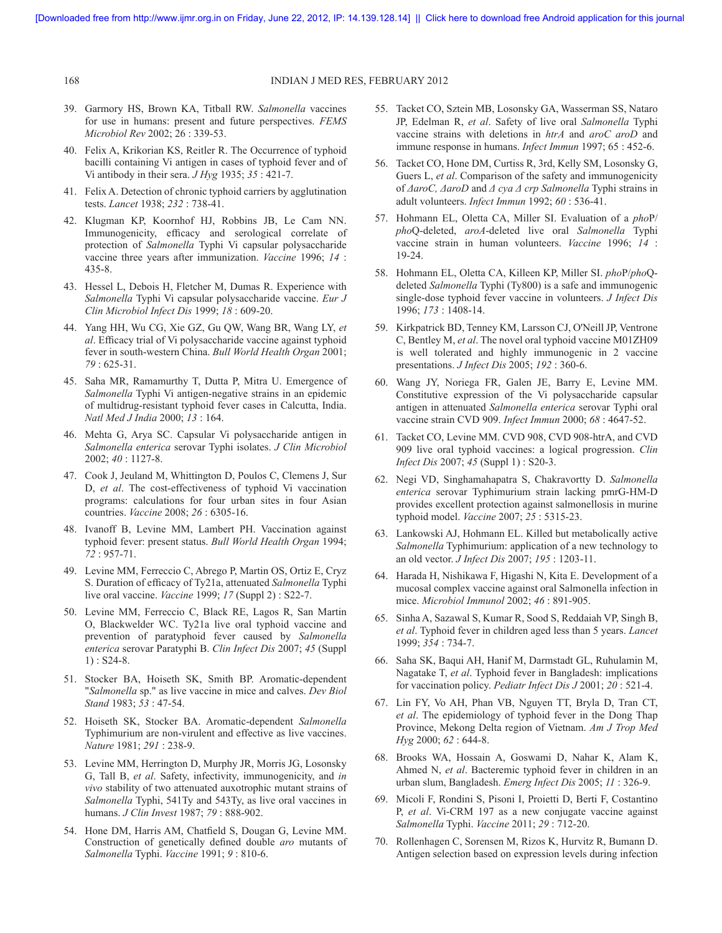#### 168 INDIAN J MED RES, FEBRUARY 2012

- 39. Garmory HS, Brown KA, Titball RW. *Salmonella* vaccines for use in humans: present and future perspectives. *FEMS Microbiol Rev* 2002; 26 : 339-53.
- 40. Felix A, Krikorian KS, Reitler R. The Occurrence of typhoid bacilli containing Vi antigen in cases of typhoid fever and of Vi antibody in their sera. *J Hyg* 1935; *35* : 421-7.
- 41. Felix A. Detection of chronic typhoid carriers by agglutination tests. *Lancet* 1938; *232* : 738-41.
- 42. Klugman KP, Koornhof HJ, Robbins JB, Le Cam NN. Immunogenicity, efficacy and serological correlate of protection of *Salmonella* Typhi Vi capsular polysaccharide vaccine three years after immunization. *Vaccine* 1996; *14* : 435-8.
- 43. Hessel L, Debois H, Fletcher M, Dumas R. Experience with *Salmonella* Typhi Vi capsular polysaccharide vaccine. *Eur J Clin Microbiol Infect Dis* 1999; *18* : 609-20.
- 44. Yang HH, Wu CG, Xie GZ, Gu QW, Wang BR, Wang LY, *et al*. Efficacy trial of Vi polysaccharide vaccine against typhoid fever in south-western China. *Bull World Health Organ* 2001; *79* : 625-31.
- 45. Saha MR, Ramamurthy T, Dutta P, Mitra U. Emergence of *Salmonella* Typhi Vi antigen-negative strains in an epidemic of multidrug-resistant typhoid fever cases in Calcutta, India. *Natl Med J India* 2000; *13* : 164.
- 46. Mehta G, Arya SC. Capsular Vi polysaccharide antigen in *Salmonella enterica* serovar Typhi isolates. *J Clin Microbiol*  2002; *40* : 1127-8.
- 47. Cook J, Jeuland M, Whittington D, Poulos C, Clemens J, Sur D, *et al*. The cost-effectiveness of typhoid Vi vaccination programs: calculations for four urban sites in four Asian countries. *Vaccine* 2008; *26* : 6305-16.
- 48. Ivanoff B, Levine MM, Lambert PH. Vaccination against typhoid fever: present status. *Bull World Health Organ* 1994; *72* : 957-71.
- 49. Levine MM, Ferreccio C, Abrego P, Martin OS, Ortiz E, Cryz S. Duration of efficacy of Ty21a, attenuated *Salmonella* Typhi live oral vaccine. *Vaccine* 1999; *17* (Suppl 2) : S22-7.
- 50. Levine MM, Ferreccio C, Black RE, Lagos R, San Martin O, Blackwelder WC. Ty21a live oral typhoid vaccine and prevention of paratyphoid fever caused by *Salmonella enterica* serovar Paratyphi B. *Clin Infect Dis* 2007; *45* (Suppl 1) : S24-8.
- 51. Stocker BA, Hoiseth SK, Smith BP. Aromatic-dependent "*Salmonella* sp." as live vaccine in mice and calves. *Dev Biol Stand* 1983; *53* : 47-54.
- 52. Hoiseth SK, Stocker BA. Aromatic-dependent *Salmonella* Typhimurium are non-virulent and effective as live vaccines. *Nature* 1981; *291* : 238-9.
- 53. Levine MM, Herrington D, Murphy JR, Morris JG, Losonsky G, Tall B, *et al*. Safety, infectivity, immunogenicity, and *in vivo* stability of two attenuated auxotrophic mutant strains of *Salmonella* Typhi, 541Ty and 543Ty, as live oral vaccines in humans. *J Clin Invest* 1987; *79* : 888-902.
- 54. Hone DM, Harris AM, Chatfield S, Dougan G, Levine MM. Construction of genetically defined double *aro* mutants of *Salmonella* Typhi. *Vaccine* 1991; *9* : 810-6.
- 55. Tacket CO, Sztein MB, Losonsky GA, Wasserman SS, Nataro JP, Edelman R, *et al*. Safety of live oral *Salmonella* Typhi vaccine strains with deletions in *htrA* and *aroC aroD* and immune response in humans. *Infect Immun* 1997; 65 : 452-6.
- 56. Tacket CO, Hone DM, Curtiss R, 3rd, Kelly SM, Losonsky G, Guers L, *et al*. Comparison of the safety and immunogenicity of *ΔaroC, ΔaroD* and *Δ cya Δ crp Salmonella* Typhi strains in adult volunteers. *Infect Immun* 1992; *60* : 536-41.
- 57. Hohmann EL, Oletta CA, Miller SI. Evaluation of a *pho*P/ *pho*Q-deleted, *aroA*-deleted live oral *Salmonella* Typhi vaccine strain in human volunteers. *Vaccine* 1996; *14* : 19-24.
- 58. Hohmann EL, Oletta CA, Killeen KP, Miller SI. *pho*P/*pho*Qdeleted *Salmonella* Typhi (Ty800) is a safe and immunogenic single-dose typhoid fever vaccine in volunteers. *J Infect Dis* 1996; *173* : 1408-14.
- 59. Kirkpatrick BD, Tenney KM, Larsson CJ, O'Neill JP, Ventrone C, Bentley M, *et al*. The novel oral typhoid vaccine M01ZH09 is well tolerated and highly immunogenic in 2 vaccine presentations. *J Infect Dis* 2005; *192* : 360-6.
- 60. Wang JY, Noriega FR, Galen JE, Barry E, Levine MM. Constitutive expression of the Vi polysaccharide capsular antigen in attenuated *Salmonella enterica* serovar Typhi oral vaccine strain CVD 909. *Infect Immun* 2000; *68* : 4647-52.
- 61. Tacket CO, Levine MM. CVD 908, CVD 908-htrA, and CVD 909 live oral typhoid vaccines: a logical progression. *Clin Infect Dis* 2007; *45* (Suppl 1) : S20-3.
- 62. Negi VD, Singhamahapatra S, Chakravortty D. *Salmonella enterica* serovar Typhimurium strain lacking pmrG-HM-D provides excellent protection against salmonellosis in murine typhoid model. *Vaccine* 2007; *25* : 5315-23.
- 63. Lankowski AJ, Hohmann EL. Killed but metabolically active *Salmonella* Typhimurium: application of a new technology to an old vector. *J Infect Dis* 2007; *195* : 1203-11.
- 64. Harada H, Nishikawa F, Higashi N, Kita E. Development of a mucosal complex vaccine against oral Salmonella infection in mice. *Microbiol Immunol* 2002; *46* : 891-905.
- 65. Sinha A, Sazawal S, Kumar R, Sood S, Reddaiah VP, Singh B, *et al*. Typhoid fever in children aged less than 5 years. *Lancet* 1999; *354* : 734-7.
- 66. Saha SK, Baqui AH, Hanif M, Darmstadt GL, Ruhulamin M, Nagatake T, *et al*. Typhoid fever in Bangladesh: implications for vaccination policy. *Pediatr Infect Dis J* 2001; *20* : 521-4.
- 67. Lin FY, Vo AH, Phan VB, Nguyen TT, Bryla D, Tran CT, *et al*. The epidemiology of typhoid fever in the Dong Thap Province, Mekong Delta region of Vietnam. *Am J Trop Med Hyg* 2000; *62* : 644-8.
- 68. Brooks WA, Hossain A, Goswami D, Nahar K, Alam K, Ahmed N, *et al*. Bacteremic typhoid fever in children in an urban slum, Bangladesh. *Emerg Infect Dis* 2005; *11* : 326-9.
- 69. Micoli F, Rondini S, Pisoni I, Proietti D, Berti F, Costantino P, *et al*. Vi-CRM 197 as a new conjugate vaccine against *Salmonella* Typhi. *Vaccine* 2011; *29* : 712-20.
- 70. Rollenhagen C, Sorensen M, Rizos K, Hurvitz R, Bumann D. Antigen selection based on expression levels during infection